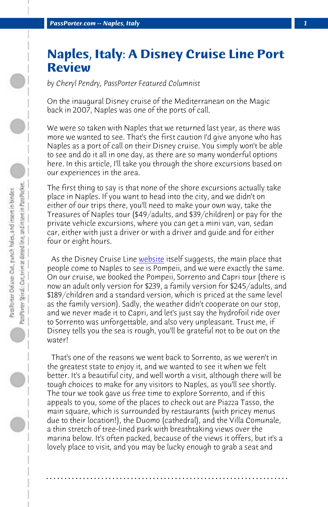*PassPorter.com -- Naples, Italy 1*

## **Naples, Italy: A Disney Cruise Line Port Review**

*by Cheryl Pendry, PassPorter Featured Columnist*

On the inaugural Disney cruise of the Mediterranean on the Magic back in 2007, Naples was o[ne of the](http://www.disneycruise.com) ports of call.

We were so taken with Naples that we returned last year, as there was more we wanted to see. That's the first caution I'd give anyone who has Naples as a port of call on their Disney cruise. You simply won't be able to see and do it all in one day, as there are so many wonderful options here. In this article, I'll take you through the shore excursions based on our experiences in the area.

The first thing to say is that none of the shore excursions actually take place in Naples. If you want to head into the city, and we didn't on either of our trips there, you'll need to make your own way, take the Treasures of Naples tour (\$49/adults, and \$39/children) or pay for the private vehicle excursions, where you can get a mini van, van, sedan car, either with just a driver or with a driver and guide and for either four or eight hours.

As the Disney Cruise Line website itself suggests, the main place that people come to Naples to see is Pompeii, and we were exactly the same. On our cruise, we booked the Pompeii, Sorrento and Capri tour (there is now an adult only version for \$239, a family version for \$245/adults, and \$189/children and a standard version, which is priced at the same level as the family version). Sadly, the weather didn't cooperate on our stop, and we never made it to Capri, and let's just say the hydrofoil ride over to Sorrento was unforgettable, and also very unpleasant. Trust me, if Disney tells you the sea is rough, you'll be grateful not to be out on the water!

 That's one of the reasons we went back to Sorrento, as we weren't in the greatest state to enjoy it, and we wanted to see it when we felt better. It's a beautiful city, and well worth a visit, although there will be tough choices to make for any visitors to Naples, as you'll see shortly. The tour we took gave us free time to explore Sorrento, and if this appeals to you, some of the places to check out are Piazza Tasso, the main square, which is surrounded by restaurants (with pricey menus due to their location!), the Duomo (cathedral), and the Villa Comunale, a thin stretch of tree-lined park with breathtaking views over the marina below. It's often packed, because of the views it offers, but it's a lovely place to visit, and you may be lucky enough to grab a seat and

**. . . . . . . . . . . . . . . . . . . . . . . . . . . . . . . . . . . . . . . . . . . . . . . . . . . . . . . . . . . . . . . . . .**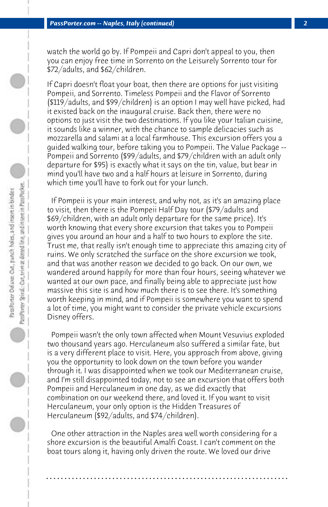watch the world go by. If Pompeii and Capri don't appeal to you, then you can enjoy free time in Sorrento on the Leisurely Sorrento tour for \$72/adults, and \$62/children.

If Capri doesn't float your boat, then there are options for just visiting Pompeii, and Sorrento. Timeless Pompeii and the Flavor of Sorrento (\$119/adults, and \$99/children) is an option I may well have picked, had it existed back on the inaugural cruise. Back then, there were no options to just visit the two destinations. If you like your Italian cuisine, it sounds like a winner, with the chance to sample delicacies such as mozzarella and salami at a local farmhouse. This excursion offers you a guided walking tour, before taking you to Pompeii. The Value Package -- Pompeii and Sorrento (\$99/adults, and \$79/children with an adult only departure for \$95) is exactly what it says on the tin, value, but bear in mind you'll have two and a half hours at leisure in Sorrento, during which time you'll have to fork out for your lunch.

 If Pompeii is your main interest, and why not, as it's an amazing place to visit, then there is the Pompeii Half Day tour (\$79/adults and \$69/children, with an adult only departure for the same price). It's worth knowing that every shore excursion that takes you to Pompeii gives you around an hour and a half to two hours to explore the site. Trust me, that really isn't enough time to appreciate this amazing city of ruins. We only scratched the surface on the shore excursion we took, and that was another reason we decided to go back. On our own, we wandered around happily for more than four hours, seeing whatever we wanted at our own pace, and finally being able to appreciate just how massive this site is and how much there is to see there. It's something worth keeping in mind, and if Pompeii is somewhere you want to spend a lot of time, you might want to consider the private vehicle excursions Disney offers.

 Pompeii wasn't the only town affected when Mount Vesuvius exploded two thousand years ago. Herculaneum also suffered a similar fate, but is a very different place to visit. Here, you approach from above, giving you the opportunity to look down on the town before you wander through it. I was disappointed when we took our Mediterranean cruise, and I'm still disappointed today, not to see an excursion that offers both Pompeii and Herculaneum in one day, as we did exactly that combination on our weekend there, and loved it. If you want to visit Herculaneum, your only option is the Hidden Treasures of Herculaneum (\$92/adults, and \$74/children).

 One other attraction in the Naples area well worth considering for a shore excursion is the beautiful Amalfi Coast. I can't comment on the boat tours along it, having only driven the route. We loved our drive

**. . . . . . . . . . . . . . . . . . . . . . . . . . . . . . . . . . . . . . . . . . . . . . . . . . . . . . . . . . . . . . . . . .**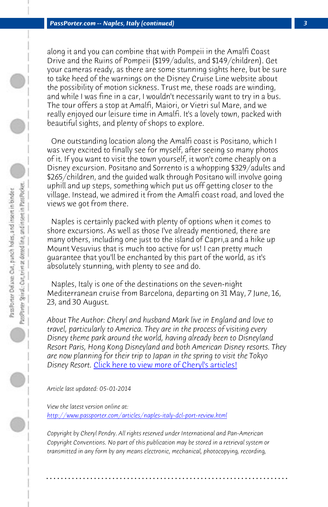*PassPorter.com -- Naples, Italy (continued) 3*

along it and you can combine that with Pompeii in the Amalfi Coast Drive and the Ruins of Pompeii (\$199/adults, and \$149/children). Get your cameras ready, as there are some stunning sights here, but be sure to take heed of the warnings on the Disney Cruise Line website about the possibility of motion sickness. Trust me, these roads are winding, and while I was fine in a car, I wouldn't necessarily want to try in a bus. The tour offers a stop at Amalfi, Maiori, or Vietri sul Mare, and we really enjoyed our leisure time in Amalfi. It's a lovely town, packed with beautiful sights, and plenty of shops to explore.

 One outstanding location along the Amalfi coast is Positano, which I was very excited to finally see for myself, after seeing so many photos of it. If you want to visit the town yourself, it won't come cheaply on a Disney excursion. Positano and Sorrento is a whopping \$329/adults and \$265/children, and the guided walk through Positano will involve going uphill and up steps, something which put us off getting closer to the village. Instead, we admired it from the Amalfi coast road, and loved the views we got from there.

 Naples is ce[rtainly packed with plenty of options when it](http://www.passporter.com/articles/cheryl-pendry-featured-columnist.asp) comes to shore excursions. As well as those I've already mentioned, there are many others, including one just to the island of Capri,a and a hike up Mount Vesuvius that is much too active for us! I can pretty much guarantee that you'll be enchanted by this part of the world, as it's [absolutely stunning, with plenty to see and do.](http://www.passporter.com/articles/naples-italy-dcl-port-review.php)

 Naples, Italy is one of the destinations on the seven-night Mediterranean cruise from Barcelona, departing on 31 May, 7 June, 16, 23, and 30 August.

*About The Author: Cheryl and husband Mark live in England and love to travel, particularly to America. They are in the process of visiting every Disney theme park around the world, having already been to Disneyland Resort Paris, Hong Kong Disneyland and both American Disney resorts. They are now planning for their trip to Japan in the spring to visit the Tokyo Disney Resort.* Click here to view more of Cheryl's articles!

*Article last updated: 05-01-2014*

*View the latest version online at: http://www.passporter.com/articles/naples-italy-dcl-port-review.html*

*Copyright by Cheryl Pendry. All rights reserved under International and Pan-American Copyright Conventions. No part of this publication may be stored in a retrieval system or transmitted in any form by any means electronic, mechanical, photocopying, recording,*

**. . . . . . . . . . . . . . . . . . . . . . . . . . . . . . . . . . . . . . . . . . . . . . . . . . . . . . . . . . . . . . . . . .**